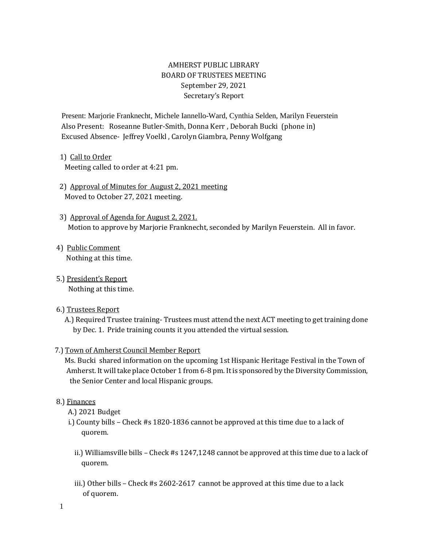# AMHERST PUBLIC LIBRARY BOARD OF TRUSTEES MEETING September 29, 2021 Secretary's Report

Present: Marjorie Franknecht, Michele Iannello-Ward, Cynthia Selden, Marilyn Feuerstein Also Present: Roseanne Butler-Smith, Donna Kerr , Deborah Bucki (phone in) Excused Absence- Jeffrey Voelkl , Carolyn Giambra, Penny Wolfgang

## 1) Call to Order

Meeting called to order at 4:21 pm.

- 2) Approval of Minutes for August 2, 2021 meeting Moved to October 27, 2021 meeting.
- 3) Approval of Agenda for August 2, 2021. Motion to approve by Marjorie Franknecht, seconded by Marilyn Feuerstein. All in favor.
- 4) Public Comment Nothing at this time.
- 5.) President's Report Nothing at this time.

## 6.) Trustees Report

 A.) Required Trustee training- Trustees must attend the next ACT meeting to get training done by Dec. 1. Pride training counts it you attended the virtual session.

## 7.) Town of Amherst Council Member Report

 Ms. Bucki shared information on the upcoming 1st Hispanic Heritage Festival in the Town of Amherst. It will take place October 1 from 6-8 pm. It is sponsored by the Diversity Commission, the Senior Center and local Hispanic groups.

#### 8.) Finances

- A.) 2021 Budget
- i.) County bills Check #s 1820-1836 cannot be approved at this time due to a lack of quorem.
	- ii.) Williamsville bills Check #s 1247,1248 cannot be approved at this time due to a lack of quorem.
	- iii.) Other bills Check #s 2602-2617 cannot be approved at this time due to a lack of quorem.